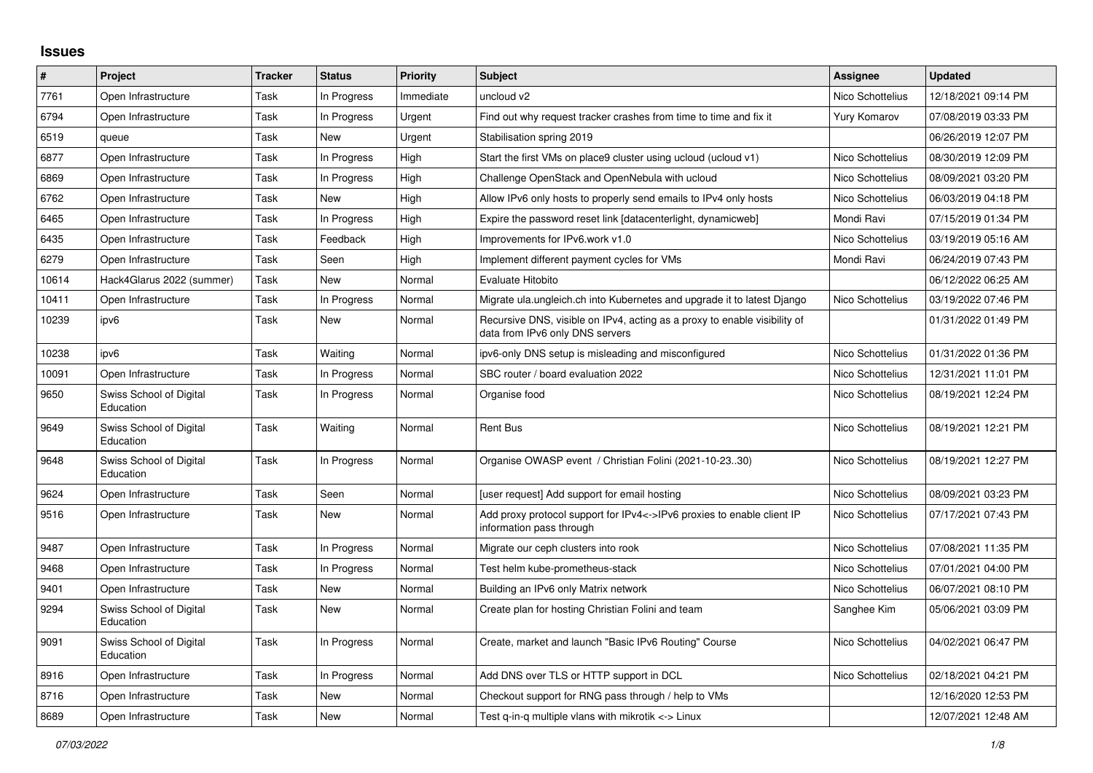## **Issues**

| $\sharp$ | Project                              | <b>Tracker</b> | <b>Status</b> | <b>Priority</b> | <b>Subject</b>                                                                                               | <b>Assignee</b>  | <b>Updated</b>      |
|----------|--------------------------------------|----------------|---------------|-----------------|--------------------------------------------------------------------------------------------------------------|------------------|---------------------|
| 7761     | Open Infrastructure                  | Task           | In Progress   | Immediate       | uncloud v2                                                                                                   | Nico Schottelius | 12/18/2021 09:14 PM |
| 6794     | Open Infrastructure                  | Task           | In Progress   | Urgent          | Find out why request tracker crashes from time to time and fix it                                            | Yury Komarov     | 07/08/2019 03:33 PM |
| 6519     | queue                                | Task           | New           | Urgent          | Stabilisation spring 2019                                                                                    |                  | 06/26/2019 12:07 PM |
| 6877     | Open Infrastructure                  | Task           | In Progress   | High            | Start the first VMs on place9 cluster using ucloud (ucloud v1)                                               | Nico Schottelius | 08/30/2019 12:09 PM |
| 6869     | Open Infrastructure                  | Task           | In Progress   | High            | Challenge OpenStack and OpenNebula with ucloud                                                               | Nico Schottelius | 08/09/2021 03:20 PM |
| 6762     | Open Infrastructure                  | Task           | New           | High            | Allow IPv6 only hosts to properly send emails to IPv4 only hosts                                             | Nico Schottelius | 06/03/2019 04:18 PM |
| 6465     | Open Infrastructure                  | Task           | In Progress   | High            | Expire the password reset link [datacenterlight, dynamicweb]                                                 | Mondi Ravi       | 07/15/2019 01:34 PM |
| 6435     | Open Infrastructure                  | Task           | Feedback      | High            | Improvements for IPv6.work v1.0                                                                              | Nico Schottelius | 03/19/2019 05:16 AM |
| 6279     | Open Infrastructure                  | Task           | Seen          | High            | Implement different payment cycles for VMs                                                                   | Mondi Ravi       | 06/24/2019 07:43 PM |
| 10614    | Hack4Glarus 2022 (summer)            | Task           | New           | Normal          | Evaluate Hitobito                                                                                            |                  | 06/12/2022 06:25 AM |
| 10411    | Open Infrastructure                  | Task           | In Progress   | Normal          | Migrate ula.ungleich.ch into Kubernetes and upgrade it to latest Django                                      | Nico Schottelius | 03/19/2022 07:46 PM |
| 10239    | ipv6                                 | Task           | New           | Normal          | Recursive DNS, visible on IPv4, acting as a proxy to enable visibility of<br>data from IPv6 only DNS servers |                  | 01/31/2022 01:49 PM |
| 10238    | ipv6                                 | Task           | Waiting       | Normal          | ipv6-only DNS setup is misleading and misconfigured                                                          | Nico Schottelius | 01/31/2022 01:36 PM |
| 10091    | Open Infrastructure                  | Task           | In Progress   | Normal          | SBC router / board evaluation 2022                                                                           | Nico Schottelius | 12/31/2021 11:01 PM |
| 9650     | Swiss School of Digital<br>Education | Task           | In Progress   | Normal          | Organise food                                                                                                | Nico Schottelius | 08/19/2021 12:24 PM |
| 9649     | Swiss School of Digital<br>Education | Task           | Waiting       | Normal          | <b>Rent Bus</b>                                                                                              | Nico Schottelius | 08/19/2021 12:21 PM |
| 9648     | Swiss School of Digital<br>Education | Task           | In Progress   | Normal          | Organise OWASP event / Christian Folini (2021-10-2330)                                                       | Nico Schottelius | 08/19/2021 12:27 PM |
| 9624     | Open Infrastructure                  | Task           | Seen          | Normal          | [user request] Add support for email hosting                                                                 | Nico Schottelius | 08/09/2021 03:23 PM |
| 9516     | Open Infrastructure                  | Task           | New           | Normal          | Add proxy protocol support for IPv4<->IPv6 proxies to enable client IP<br>information pass through           | Nico Schottelius | 07/17/2021 07:43 PM |
| 9487     | Open Infrastructure                  | Task           | In Progress   | Normal          | Migrate our ceph clusters into rook                                                                          | Nico Schottelius | 07/08/2021 11:35 PM |
| 9468     | Open Infrastructure                  | Task           | In Progress   | Normal          | Test helm kube-prometheus-stack                                                                              | Nico Schottelius | 07/01/2021 04:00 PM |
| 9401     | Open Infrastructure                  | Task           | New           | Normal          | Building an IPv6 only Matrix network                                                                         | Nico Schottelius | 06/07/2021 08:10 PM |
| 9294     | Swiss School of Digital<br>Education | Task           | New           | Normal          | Create plan for hosting Christian Folini and team                                                            | Sanghee Kim      | 05/06/2021 03:09 PM |
| 9091     | Swiss School of Digital<br>Education | Task           | In Progress   | Normal          | Create, market and launch "Basic IPv6 Routing" Course                                                        | Nico Schottelius | 04/02/2021 06:47 PM |
| 8916     | Open Infrastructure                  | Task           | In Progress   | Normal          | Add DNS over TLS or HTTP support in DCL                                                                      | Nico Schottelius | 02/18/2021 04:21 PM |
| 8716     | Open Infrastructure                  | Task           | New           | Normal          | Checkout support for RNG pass through / help to VMs                                                          |                  | 12/16/2020 12:53 PM |
| 8689     | Open Infrastructure                  | Task           | New           | Normal          | Test q-in-q multiple vlans with mikrotik <-> Linux                                                           |                  | 12/07/2021 12:48 AM |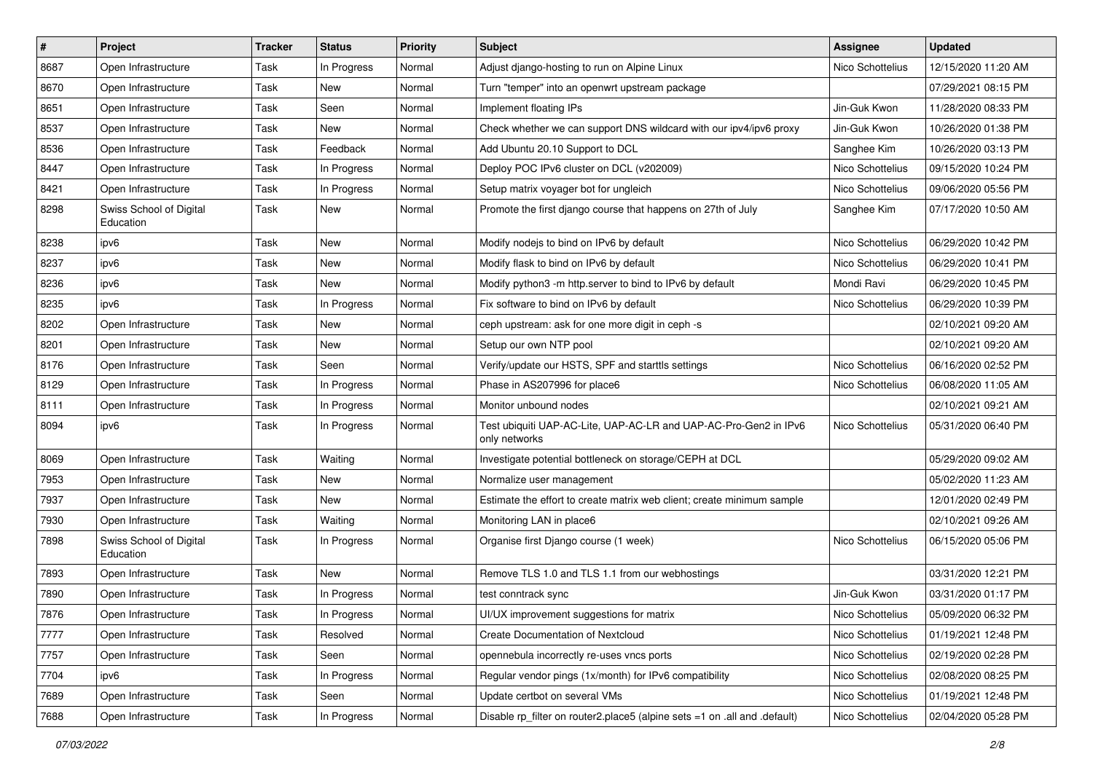| $\vert$ # | Project                              | <b>Tracker</b> | <b>Status</b> | <b>Priority</b> | Subject                                                                           | <b>Assignee</b>  | <b>Updated</b>      |
|-----------|--------------------------------------|----------------|---------------|-----------------|-----------------------------------------------------------------------------------|------------------|---------------------|
| 8687      | Open Infrastructure                  | Task           | In Progress   | Normal          | Adjust diango-hosting to run on Alpine Linux                                      | Nico Schottelius | 12/15/2020 11:20 AM |
| 8670      | Open Infrastructure                  | Task           | New           | Normal          | Turn "temper" into an openwrt upstream package                                    |                  | 07/29/2021 08:15 PM |
| 8651      | Open Infrastructure                  | Task           | Seen          | Normal          | Implement floating IPs                                                            | Jin-Guk Kwon     | 11/28/2020 08:33 PM |
| 8537      | Open Infrastructure                  | Task           | New           | Normal          | Check whether we can support DNS wildcard with our ipv4/ipv6 proxy                | Jin-Guk Kwon     | 10/26/2020 01:38 PM |
| 8536      | Open Infrastructure                  | Task           | Feedback      | Normal          | Add Ubuntu 20.10 Support to DCL                                                   | Sanghee Kim      | 10/26/2020 03:13 PM |
| 8447      | Open Infrastructure                  | Task           | In Progress   | Normal          | Deploy POC IPv6 cluster on DCL (v202009)                                          | Nico Schottelius | 09/15/2020 10:24 PM |
| 8421      | Open Infrastructure                  | Task           | In Progress   | Normal          | Setup matrix voyager bot for ungleich                                             | Nico Schottelius | 09/06/2020 05:56 PM |
| 8298      | Swiss School of Digital<br>Education | Task           | <b>New</b>    | Normal          | Promote the first django course that happens on 27th of July                      | Sanghee Kim      | 07/17/2020 10:50 AM |
| 8238      | ipv6                                 | Task           | New           | Normal          | Modify nodejs to bind on IPv6 by default                                          | Nico Schottelius | 06/29/2020 10:42 PM |
| 8237      | ipv6                                 | Task           | New           | Normal          | Modify flask to bind on IPv6 by default                                           | Nico Schottelius | 06/29/2020 10:41 PM |
| 8236      | ipv6                                 | Task           | <b>New</b>    | Normal          | Modify python3 -m http.server to bind to IPv6 by default                          | Mondi Ravi       | 06/29/2020 10:45 PM |
| 8235      | ipv6                                 | Task           | In Progress   | Normal          | Fix software to bind on IPv6 by default                                           | Nico Schottelius | 06/29/2020 10:39 PM |
| 8202      | Open Infrastructure                  | Task           | New           | Normal          | ceph upstream: ask for one more digit in ceph -s                                  |                  | 02/10/2021 09:20 AM |
| 8201      | Open Infrastructure                  | Task           | New           | Normal          | Setup our own NTP pool                                                            |                  | 02/10/2021 09:20 AM |
| 8176      | Open Infrastructure                  | Task           | Seen          | Normal          | Verify/update our HSTS, SPF and starttls settings                                 | Nico Schottelius | 06/16/2020 02:52 PM |
| 8129      | Open Infrastructure                  | Task           | In Progress   | Normal          | Phase in AS207996 for place6                                                      | Nico Schottelius | 06/08/2020 11:05 AM |
| 8111      | Open Infrastructure                  | Task           | In Progress   | Normal          | Monitor unbound nodes                                                             |                  | 02/10/2021 09:21 AM |
| 8094      | ipv6                                 | Task           | In Progress   | Normal          | Test ubiquiti UAP-AC-Lite, UAP-AC-LR and UAP-AC-Pro-Gen2 in IPv6<br>only networks | Nico Schottelius | 05/31/2020 06:40 PM |
| 8069      | Open Infrastructure                  | Task           | Waiting       | Normal          | Investigate potential bottleneck on storage/CEPH at DCL                           |                  | 05/29/2020 09:02 AM |
| 7953      | Open Infrastructure                  | Task           | New           | Normal          | Normalize user management                                                         |                  | 05/02/2020 11:23 AM |
| 7937      | Open Infrastructure                  | Task           | New           | Normal          | Estimate the effort to create matrix web client; create minimum sample            |                  | 12/01/2020 02:49 PM |
| 7930      | Open Infrastructure                  | Task           | Waiting       | Normal          | Monitoring LAN in place6                                                          |                  | 02/10/2021 09:26 AM |
| 7898      | Swiss School of Digital<br>Education | Task           | In Progress   | Normal          | Organise first Django course (1 week)                                             | Nico Schottelius | 06/15/2020 05:06 PM |
| 7893      | Open Infrastructure                  | Task           | New           | Normal          | Remove TLS 1.0 and TLS 1.1 from our webhostings                                   |                  | 03/31/2020 12:21 PM |
| 7890      | Open Infrastructure                  | Task           | In Progress   | Normal          | test conntrack sync                                                               | Jin-Guk Kwon     | 03/31/2020 01:17 PM |
| 7876      | Open Infrastructure                  | Task           | In Progress   | Normal          | UI/UX improvement suggestions for matrix                                          | Nico Schottelius | 05/09/2020 06:32 PM |
| 7777      | Open Infrastructure                  | Task           | Resolved      | Normal          | <b>Create Documentation of Nextcloud</b>                                          | Nico Schottelius | 01/19/2021 12:48 PM |
| 7757      | Open Infrastructure                  | Task           | Seen          | Normal          | opennebula incorrectly re-uses vncs ports                                         | Nico Schottelius | 02/19/2020 02:28 PM |
| 7704      | ipv6                                 | Task           | In Progress   | Normal          | Regular vendor pings (1x/month) for IPv6 compatibility                            | Nico Schottelius | 02/08/2020 08:25 PM |
| 7689      | Open Infrastructure                  | Task           | Seen          | Normal          | Update certbot on several VMs                                                     | Nico Schottelius | 01/19/2021 12:48 PM |
| 7688      | Open Infrastructure                  | Task           | In Progress   | Normal          | Disable rp_filter on router2.place5 (alpine sets =1 on .all and .default)         | Nico Schottelius | 02/04/2020 05:28 PM |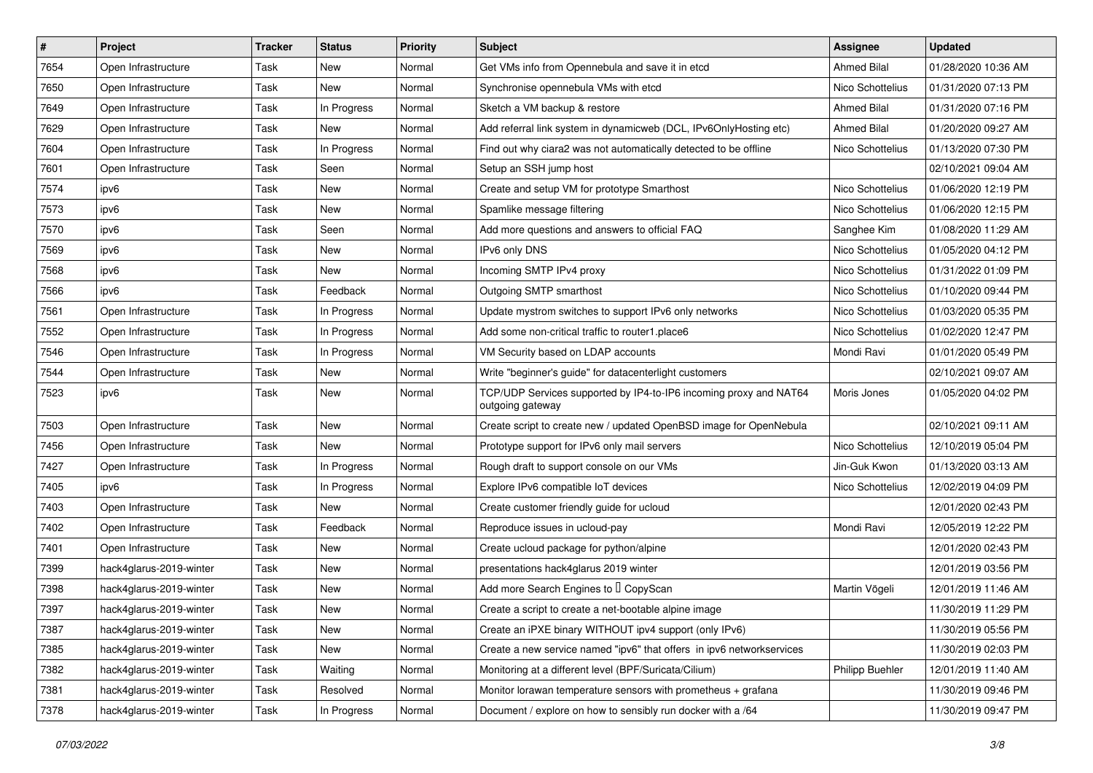| $\vert$ # | Project                 | <b>Tracker</b> | <b>Status</b> | <b>Priority</b> | <b>Subject</b>                                                                        | <b>Assignee</b>    | <b>Updated</b>      |
|-----------|-------------------------|----------------|---------------|-----------------|---------------------------------------------------------------------------------------|--------------------|---------------------|
| 7654      | Open Infrastructure     | Task           | New           | Normal          | Get VMs info from Opennebula and save it in etcd                                      | <b>Ahmed Bilal</b> | 01/28/2020 10:36 AM |
| 7650      | Open Infrastructure     | Task           | New           | Normal          | Synchronise opennebula VMs with etcd                                                  | Nico Schottelius   | 01/31/2020 07:13 PM |
| 7649      | Open Infrastructure     | Task           | In Progress   | Normal          | Sketch a VM backup & restore                                                          | <b>Ahmed Bilal</b> | 01/31/2020 07:16 PM |
| 7629      | Open Infrastructure     | Task           | New           | Normal          | Add referral link system in dynamicweb (DCL, IPv6OnlyHosting etc)                     | Ahmed Bilal        | 01/20/2020 09:27 AM |
| 7604      | Open Infrastructure     | Task           | In Progress   | Normal          | Find out why ciara2 was not automatically detected to be offline                      | Nico Schottelius   | 01/13/2020 07:30 PM |
| 7601      | Open Infrastructure     | Task           | Seen          | Normal          | Setup an SSH jump host                                                                |                    | 02/10/2021 09:04 AM |
| 7574      | ipv6                    | Task           | <b>New</b>    | Normal          | Create and setup VM for prototype Smarthost                                           | Nico Schottelius   | 01/06/2020 12:19 PM |
| 7573      | ipv6                    | Task           | New           | Normal          | Spamlike message filtering                                                            | Nico Schottelius   | 01/06/2020 12:15 PM |
| 7570      | ipv6                    | Task           | Seen          | Normal          | Add more questions and answers to official FAQ                                        | Sanghee Kim        | 01/08/2020 11:29 AM |
| 7569      | ipv6                    | Task           | New           | Normal          | IPv6 only DNS                                                                         | Nico Schottelius   | 01/05/2020 04:12 PM |
| 7568      | ipv6                    | Task           | New           | Normal          | Incoming SMTP IPv4 proxy                                                              | Nico Schottelius   | 01/31/2022 01:09 PM |
| 7566      | ipv6                    | Task           | Feedback      | Normal          | Outgoing SMTP smarthost                                                               | Nico Schottelius   | 01/10/2020 09:44 PM |
| 7561      | Open Infrastructure     | Task           | In Progress   | Normal          | Update mystrom switches to support IPv6 only networks                                 | Nico Schottelius   | 01/03/2020 05:35 PM |
| 7552      | Open Infrastructure     | Task           | In Progress   | Normal          | Add some non-critical traffic to router1.place6                                       | Nico Schottelius   | 01/02/2020 12:47 PM |
| 7546      | Open Infrastructure     | Task           | In Progress   | Normal          | VM Security based on LDAP accounts                                                    | Mondi Ravi         | 01/01/2020 05:49 PM |
| 7544      | Open Infrastructure     | Task           | New           | Normal          | Write "beginner's guide" for datacenterlight customers                                |                    | 02/10/2021 09:07 AM |
| 7523      | ipv6                    | Task           | New           | Normal          | TCP/UDP Services supported by IP4-to-IP6 incoming proxy and NAT64<br>outgoing gateway | Moris Jones        | 01/05/2020 04:02 PM |
| 7503      | Open Infrastructure     | Task           | New           | Normal          | Create script to create new / updated OpenBSD image for OpenNebula                    |                    | 02/10/2021 09:11 AM |
| 7456      | Open Infrastructure     | Task           | New           | Normal          | Prototype support for IPv6 only mail servers                                          | Nico Schottelius   | 12/10/2019 05:04 PM |
| 7427      | Open Infrastructure     | Task           | In Progress   | Normal          | Rough draft to support console on our VMs                                             | Jin-Guk Kwon       | 01/13/2020 03:13 AM |
| 7405      | ipv6                    | Task           | In Progress   | Normal          | Explore IPv6 compatible IoT devices                                                   | Nico Schottelius   | 12/02/2019 04:09 PM |
| 7403      | Open Infrastructure     | Task           | New           | Normal          | Create customer friendly guide for ucloud                                             |                    | 12/01/2020 02:43 PM |
| 7402      | Open Infrastructure     | Task           | Feedback      | Normal          | Reproduce issues in ucloud-pay                                                        | Mondi Ravi         | 12/05/2019 12:22 PM |
| 7401      | Open Infrastructure     | Task           | New           | Normal          | Create ucloud package for python/alpine                                               |                    | 12/01/2020 02:43 PM |
| 7399      | hack4glarus-2019-winter | Task           | New           | Normal          | presentations hack4glarus 2019 winter                                                 |                    | 12/01/2019 03:56 PM |
| 7398      | hack4glarus-2019-winter | Task           | New           | Normal          | Add more Search Engines to I CopyScan                                                 | Martin Vögeli      | 12/01/2019 11:46 AM |
| 7397      | hack4glarus-2019-winter | Task           | New           | Normal          | Create a script to create a net-bootable alpine image                                 |                    | 11/30/2019 11:29 PM |
| 7387      | hack4glarus-2019-winter | Task           | New           | Normal          | Create an iPXE binary WITHOUT ipv4 support (only IPv6)                                |                    | 11/30/2019 05:56 PM |
| 7385      | hack4glarus-2019-winter | Task           | New           | Normal          | Create a new service named "ipv6" that offers in ipv6 networkservices                 |                    | 11/30/2019 02:03 PM |
| 7382      | hack4glarus-2019-winter | Task           | Waiting       | Normal          | Monitoring at a different level (BPF/Suricata/Cilium)                                 | Philipp Buehler    | 12/01/2019 11:40 AM |
| 7381      | hack4glarus-2019-winter | Task           | Resolved      | Normal          | Monitor lorawan temperature sensors with prometheus $+$ grafana                       |                    | 11/30/2019 09:46 PM |
| 7378      | hack4glarus-2019-winter | Task           | In Progress   | Normal          | Document / explore on how to sensibly run docker with a /64                           |                    | 11/30/2019 09:47 PM |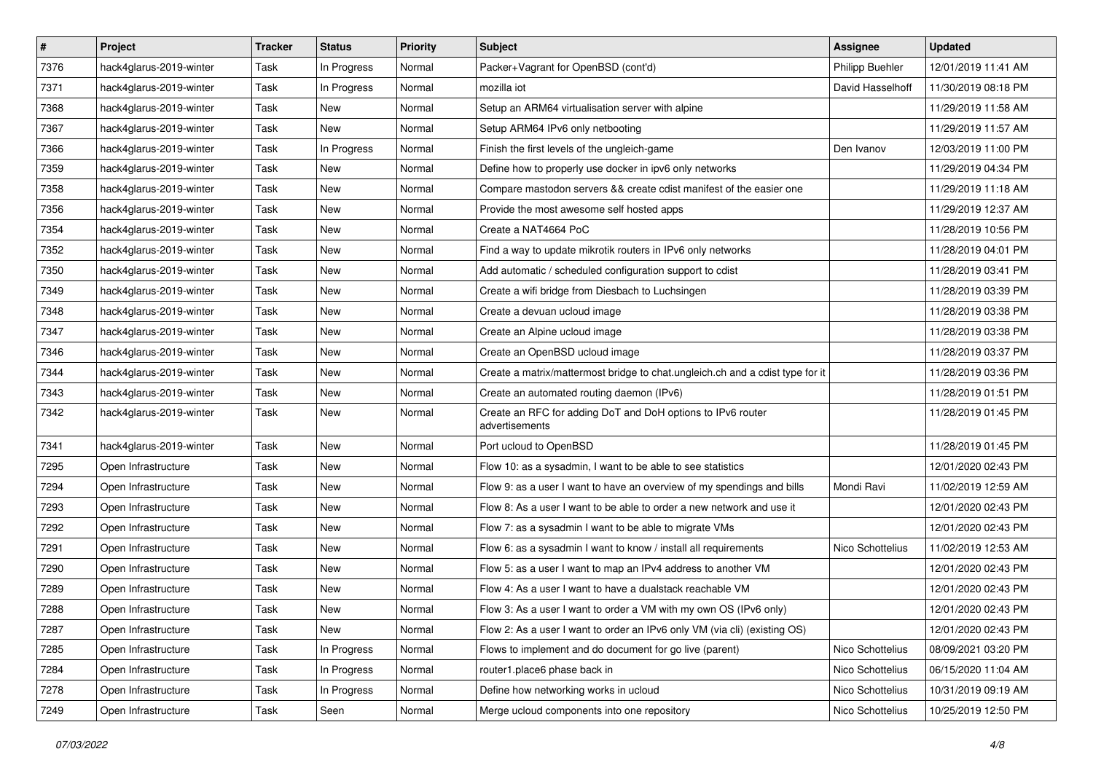| $\vert$ # | Project                 | <b>Tracker</b> | <b>Status</b> | <b>Priority</b> | <b>Subject</b>                                                                | <b>Assignee</b>  | <b>Updated</b>      |
|-----------|-------------------------|----------------|---------------|-----------------|-------------------------------------------------------------------------------|------------------|---------------------|
| 7376      | hack4glarus-2019-winter | Task           | In Progress   | Normal          | Packer+Vagrant for OpenBSD (cont'd)                                           | Philipp Buehler  | 12/01/2019 11:41 AM |
| 7371      | hack4glarus-2019-winter | Task           | In Progress   | Normal          | mozilla iot                                                                   | David Hasselhoff | 11/30/2019 08:18 PM |
| 7368      | hack4glarus-2019-winter | Task           | New           | Normal          | Setup an ARM64 virtualisation server with alpine                              |                  | 11/29/2019 11:58 AM |
| 7367      | hack4glarus-2019-winter | Task           | New           | Normal          | Setup ARM64 IPv6 only netbooting                                              |                  | 11/29/2019 11:57 AM |
| 7366      | hack4glarus-2019-winter | Task           | In Progress   | Normal          | Finish the first levels of the ungleich-game                                  | Den Ivanov       | 12/03/2019 11:00 PM |
| 7359      | hack4glarus-2019-winter | Task           | New           | Normal          | Define how to properly use docker in ipv6 only networks                       |                  | 11/29/2019 04:34 PM |
| 7358      | hack4glarus-2019-winter | Task           | New           | Normal          | Compare mastodon servers && create cdist manifest of the easier one           |                  | 11/29/2019 11:18 AM |
| 7356      | hack4glarus-2019-winter | Task           | New           | Normal          | Provide the most awesome self hosted apps                                     |                  | 11/29/2019 12:37 AM |
| 7354      | hack4glarus-2019-winter | Task           | New           | Normal          | Create a NAT4664 PoC                                                          |                  | 11/28/2019 10:56 PM |
| 7352      | hack4glarus-2019-winter | Task           | New           | Normal          | Find a way to update mikrotik routers in IPv6 only networks                   |                  | 11/28/2019 04:01 PM |
| 7350      | hack4glarus-2019-winter | Task           | New           | Normal          | Add automatic / scheduled configuration support to cdist                      |                  | 11/28/2019 03:41 PM |
| 7349      | hack4glarus-2019-winter | Task           | New           | Normal          | Create a wifi bridge from Diesbach to Luchsingen                              |                  | 11/28/2019 03:39 PM |
| 7348      | hack4glarus-2019-winter | Task           | New           | Normal          | Create a devuan ucloud image                                                  |                  | 11/28/2019 03:38 PM |
| 7347      | hack4glarus-2019-winter | Task           | New           | Normal          | Create an Alpine ucloud image                                                 |                  | 11/28/2019 03:38 PM |
| 7346      | hack4glarus-2019-winter | Task           | New           | Normal          | Create an OpenBSD ucloud image                                                |                  | 11/28/2019 03:37 PM |
| 7344      | hack4glarus-2019-winter | Task           | New           | Normal          | Create a matrix/mattermost bridge to chat.ungleich.ch and a cdist type for it |                  | 11/28/2019 03:36 PM |
| 7343      | hack4glarus-2019-winter | Task           | New           | Normal          | Create an automated routing daemon (IPv6)                                     |                  | 11/28/2019 01:51 PM |
| 7342      | hack4glarus-2019-winter | Task           | New           | Normal          | Create an RFC for adding DoT and DoH options to IPv6 router<br>advertisements |                  | 11/28/2019 01:45 PM |
| 7341      | hack4glarus-2019-winter | Task           | New           | Normal          | Port ucloud to OpenBSD                                                        |                  | 11/28/2019 01:45 PM |
| 7295      | Open Infrastructure     | Task           | New           | Normal          | Flow 10: as a sysadmin, I want to be able to see statistics                   |                  | 12/01/2020 02:43 PM |
| 7294      | Open Infrastructure     | Task           | New           | Normal          | Flow 9: as a user I want to have an overview of my spendings and bills        | Mondi Ravi       | 11/02/2019 12:59 AM |
| 7293      | Open Infrastructure     | Task           | <b>New</b>    | Normal          | Flow 8: As a user I want to be able to order a new network and use it         |                  | 12/01/2020 02:43 PM |
| 7292      | Open Infrastructure     | Task           | New           | Normal          | Flow 7: as a sysadmin I want to be able to migrate VMs                        |                  | 12/01/2020 02:43 PM |
| 7291      | Open Infrastructure     | Task           | New           | Normal          | Flow 6: as a sysadmin I want to know / install all requirements               | Nico Schottelius | 11/02/2019 12:53 AM |
| 7290      | Open Infrastructure     | Task           | New           | Normal          | Flow 5: as a user I want to map an IPv4 address to another VM                 |                  | 12/01/2020 02:43 PM |
| 7289      | Open Infrastructure     | Task           | New           | Normal          | Flow 4: As a user I want to have a dualstack reachable VM                     |                  | 12/01/2020 02:43 PM |
| 7288      | Open Infrastructure     | Task           | New           | Normal          | Flow 3: As a user I want to order a VM with my own OS (IPv6 only)             |                  | 12/01/2020 02:43 PM |
| 7287      | Open Infrastructure     | Task           | New           | Normal          | Flow 2: As a user I want to order an IPv6 only VM (via cli) (existing OS)     |                  | 12/01/2020 02:43 PM |
| 7285      | Open Infrastructure     | Task           | In Progress   | Normal          | Flows to implement and do document for go live (parent)                       | Nico Schottelius | 08/09/2021 03:20 PM |
| 7284      | Open Infrastructure     | Task           | In Progress   | Normal          | router1.place6 phase back in                                                  | Nico Schottelius | 06/15/2020 11:04 AM |
| 7278      | Open Infrastructure     | Task           | In Progress   | Normal          | Define how networking works in ucloud                                         | Nico Schottelius | 10/31/2019 09:19 AM |
| 7249      | Open Infrastructure     | Task           | Seen          | Normal          | Merge ucloud components into one repository                                   | Nico Schottelius | 10/25/2019 12:50 PM |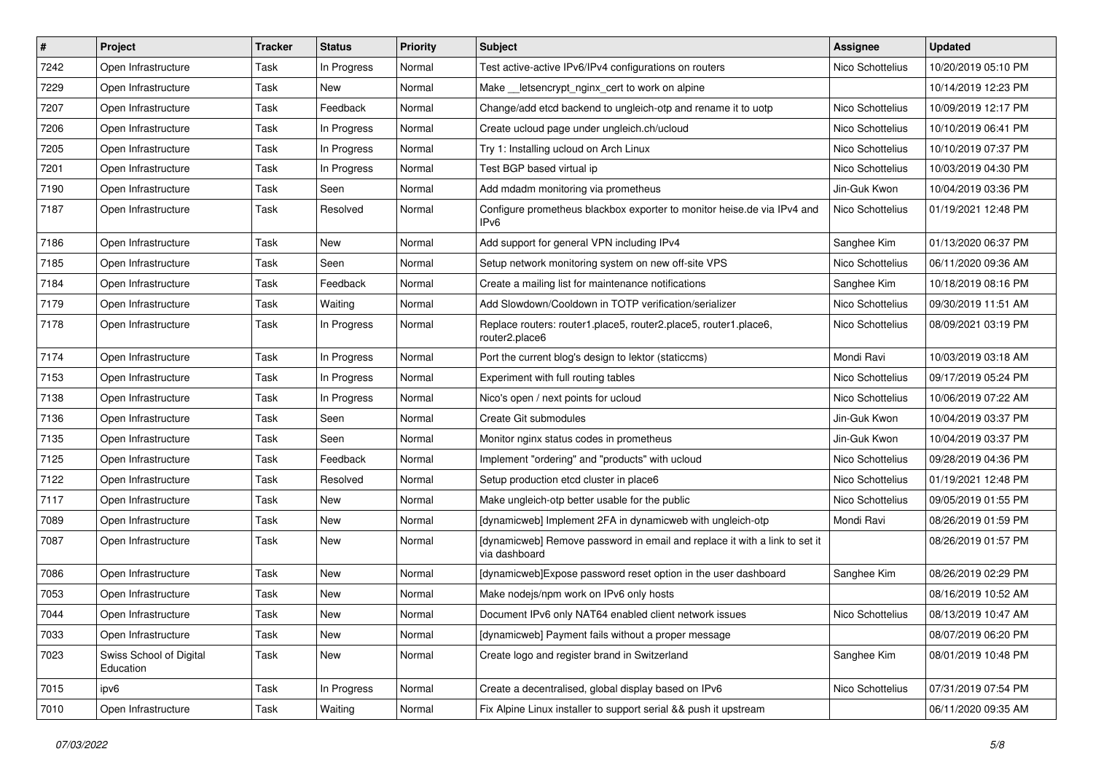| $\vert$ # | Project                              | <b>Tracker</b> | <b>Status</b> | <b>Priority</b> | Subject                                                                                     | <b>Assignee</b>  | <b>Updated</b>      |
|-----------|--------------------------------------|----------------|---------------|-----------------|---------------------------------------------------------------------------------------------|------------------|---------------------|
| 7242      | Open Infrastructure                  | Task           | In Progress   | Normal          | Test active-active IPv6/IPv4 configurations on routers                                      | Nico Schottelius | 10/20/2019 05:10 PM |
| 7229      | Open Infrastructure                  | Task           | New           | Normal          | Make __letsencrypt_nginx_cert to work on alpine                                             |                  | 10/14/2019 12:23 PM |
| 7207      | Open Infrastructure                  | Task           | Feedback      | Normal          | Change/add etcd backend to ungleich-otp and rename it to uotp                               | Nico Schottelius | 10/09/2019 12:17 PM |
| 7206      | Open Infrastructure                  | Task           | In Progress   | Normal          | Create ucloud page under ungleich.ch/ucloud                                                 | Nico Schottelius | 10/10/2019 06:41 PM |
| 7205      | Open Infrastructure                  | Task           | In Progress   | Normal          | Try 1: Installing ucloud on Arch Linux                                                      | Nico Schottelius | 10/10/2019 07:37 PM |
| 7201      | Open Infrastructure                  | Task           | In Progress   | Normal          | Test BGP based virtual ip                                                                   | Nico Schottelius | 10/03/2019 04:30 PM |
| 7190      | Open Infrastructure                  | Task           | Seen          | Normal          | Add mdadm monitoring via prometheus                                                         | Jin-Guk Kwon     | 10/04/2019 03:36 PM |
| 7187      | Open Infrastructure                  | Task           | Resolved      | Normal          | Configure prometheus blackbox exporter to monitor heise.de via IPv4 and<br>IPv6             | Nico Schottelius | 01/19/2021 12:48 PM |
| 7186      | Open Infrastructure                  | Task           | <b>New</b>    | Normal          | Add support for general VPN including IPv4                                                  | Sanghee Kim      | 01/13/2020 06:37 PM |
| 7185      | Open Infrastructure                  | Task           | Seen          | Normal          | Setup network monitoring system on new off-site VPS                                         | Nico Schottelius | 06/11/2020 09:36 AM |
| 7184      | Open Infrastructure                  | Task           | Feedback      | Normal          | Create a mailing list for maintenance notifications                                         | Sanghee Kim      | 10/18/2019 08:16 PM |
| 7179      | Open Infrastructure                  | Task           | Waiting       | Normal          | Add Slowdown/Cooldown in TOTP verification/serializer                                       | Nico Schottelius | 09/30/2019 11:51 AM |
| 7178      | Open Infrastructure                  | Task           | In Progress   | Normal          | Replace routers: router1.place5, router2.place5, router1.place6,<br>router2.place6          | Nico Schottelius | 08/09/2021 03:19 PM |
| 7174      | Open Infrastructure                  | Task           | In Progress   | Normal          | Port the current blog's design to lektor (staticcms)                                        | Mondi Ravi       | 10/03/2019 03:18 AM |
| 7153      | Open Infrastructure                  | Task           | In Progress   | Normal          | Experiment with full routing tables                                                         | Nico Schottelius | 09/17/2019 05:24 PM |
| 7138      | Open Infrastructure                  | Task           | In Progress   | Normal          | Nico's open / next points for ucloud                                                        | Nico Schottelius | 10/06/2019 07:22 AM |
| 7136      | Open Infrastructure                  | Task           | Seen          | Normal          | Create Git submodules                                                                       | Jin-Guk Kwon     | 10/04/2019 03:37 PM |
| 7135      | Open Infrastructure                  | Task           | Seen          | Normal          | Monitor nginx status codes in prometheus                                                    | Jin-Guk Kwon     | 10/04/2019 03:37 PM |
| 7125      | Open Infrastructure                  | Task           | Feedback      | Normal          | Implement "ordering" and "products" with ucloud                                             | Nico Schottelius | 09/28/2019 04:36 PM |
| 7122      | Open Infrastructure                  | Task           | Resolved      | Normal          | Setup production etcd cluster in place6                                                     | Nico Schottelius | 01/19/2021 12:48 PM |
| 7117      | Open Infrastructure                  | Task           | <b>New</b>    | Normal          | Make ungleich-otp better usable for the public                                              | Nico Schottelius | 09/05/2019 01:55 PM |
| 7089      | Open Infrastructure                  | Task           | New           | Normal          | [dynamicweb] Implement 2FA in dynamicweb with ungleich-otp                                  | Mondi Ravi       | 08/26/2019 01:59 PM |
| 7087      | Open Infrastructure                  | Task           | New           | Normal          | [dynamicweb] Remove password in email and replace it with a link to set it<br>via dashboard |                  | 08/26/2019 01:57 PM |
| 7086      | Open Infrastructure                  | Task           | New           | Normal          | [dynamicweb]Expose password reset option in the user dashboard                              | Sanghee Kim      | 08/26/2019 02:29 PM |
| 7053      | Open Infrastructure                  | Task           | New           | Normal          | Make nodejs/npm work on IPv6 only hosts                                                     |                  | 08/16/2019 10:52 AM |
| 7044      | Open Infrastructure                  | Task           | New           | Normal          | Document IPv6 only NAT64 enabled client network issues                                      | Nico Schottelius | 08/13/2019 10:47 AM |
| 7033      | Open Infrastructure                  | Task           | New           | Normal          | [dynamicweb] Payment fails without a proper message                                         |                  | 08/07/2019 06:20 PM |
| 7023      | Swiss School of Digital<br>Education | Task           | New           | Normal          | Create logo and register brand in Switzerland                                               | Sanghee Kim      | 08/01/2019 10:48 PM |
| 7015      | ipv6                                 | Task           | In Progress   | Normal          | Create a decentralised, global display based on IPv6                                        | Nico Schottelius | 07/31/2019 07:54 PM |
| 7010      | Open Infrastructure                  | Task           | Waiting       | Normal          | Fix Alpine Linux installer to support serial && push it upstream                            |                  | 06/11/2020 09:35 AM |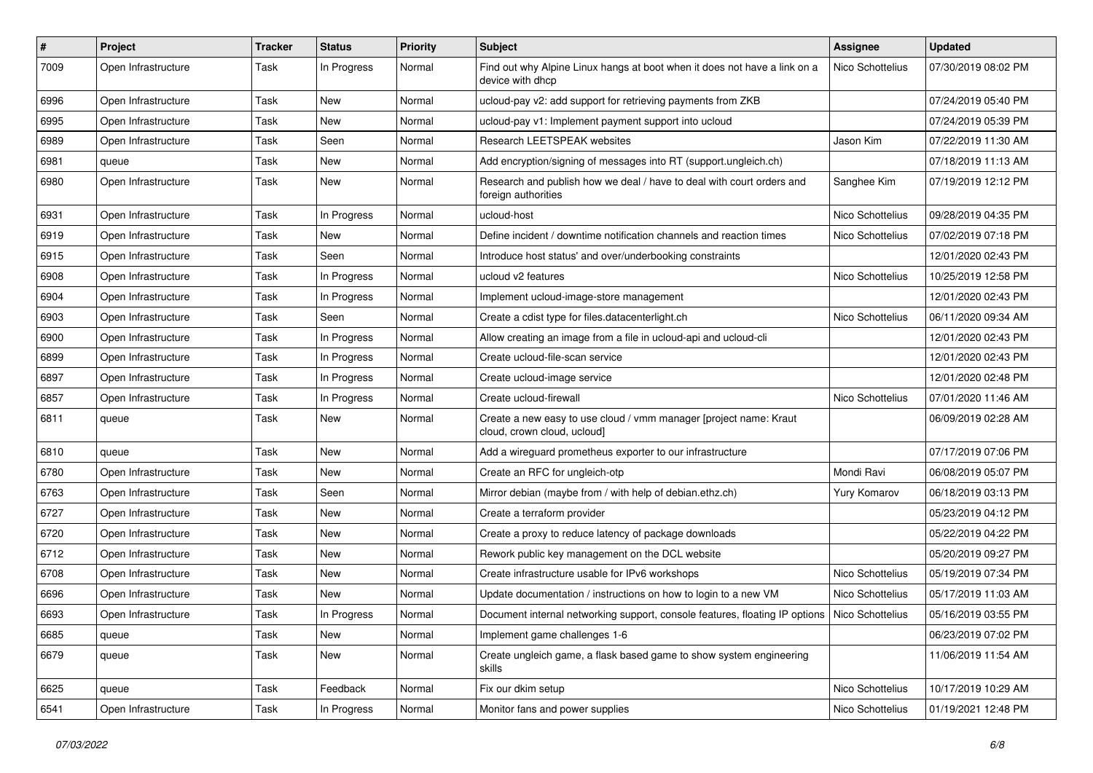| $\sharp$ | Project             | <b>Tracker</b> | <b>Status</b> | <b>Priority</b> | Subject                                                                                          | <b>Assignee</b>  | <b>Updated</b>      |
|----------|---------------------|----------------|---------------|-----------------|--------------------------------------------------------------------------------------------------|------------------|---------------------|
| 7009     | Open Infrastructure | Task           | In Progress   | Normal          | Find out why Alpine Linux hangs at boot when it does not have a link on a<br>device with dhcp    | Nico Schottelius | 07/30/2019 08:02 PM |
| 6996     | Open Infrastructure | Task           | New           | Normal          | ucloud-pay v2: add support for retrieving payments from ZKB                                      |                  | 07/24/2019 05:40 PM |
| 6995     | Open Infrastructure | Task           | New           | Normal          | ucloud-pay v1: Implement payment support into ucloud                                             |                  | 07/24/2019 05:39 PM |
| 6989     | Open Infrastructure | Task           | Seen          | Normal          | Research LEETSPEAK websites                                                                      | Jason Kim        | 07/22/2019 11:30 AM |
| 6981     | queue               | Task           | New           | Normal          | Add encryption/signing of messages into RT (support.ungleich.ch)                                 |                  | 07/18/2019 11:13 AM |
| 6980     | Open Infrastructure | Task           | New           | Normal          | Research and publish how we deal / have to deal with court orders and<br>foreign authorities     | Sanghee Kim      | 07/19/2019 12:12 PM |
| 6931     | Open Infrastructure | Task           | In Progress   | Normal          | ucloud-host                                                                                      | Nico Schottelius | 09/28/2019 04:35 PM |
| 6919     | Open Infrastructure | Task           | New           | Normal          | Define incident / downtime notification channels and reaction times                              | Nico Schottelius | 07/02/2019 07:18 PM |
| 6915     | Open Infrastructure | Task           | Seen          | Normal          | Introduce host status' and over/underbooking constraints                                         |                  | 12/01/2020 02:43 PM |
| 6908     | Open Infrastructure | Task           | In Progress   | Normal          | ucloud v2 features                                                                               | Nico Schottelius | 10/25/2019 12:58 PM |
| 6904     | Open Infrastructure | Task           | In Progress   | Normal          | Implement ucloud-image-store management                                                          |                  | 12/01/2020 02:43 PM |
| 6903     | Open Infrastructure | Task           | Seen          | Normal          | Create a cdist type for files.datacenterlight.ch                                                 | Nico Schottelius | 06/11/2020 09:34 AM |
| 6900     | Open Infrastructure | Task           | In Progress   | Normal          | Allow creating an image from a file in ucloud-api and ucloud-cli                                 |                  | 12/01/2020 02:43 PM |
| 6899     | Open Infrastructure | Task           | In Progress   | Normal          | Create ucloud-file-scan service                                                                  |                  | 12/01/2020 02:43 PM |
| 6897     | Open Infrastructure | Task           | In Progress   | Normal          | Create ucloud-image service                                                                      |                  | 12/01/2020 02:48 PM |
| 6857     | Open Infrastructure | Task           | In Progress   | Normal          | Create ucloud-firewall                                                                           | Nico Schottelius | 07/01/2020 11:46 AM |
| 6811     | queue               | Task           | New           | Normal          | Create a new easy to use cloud / vmm manager [project name: Kraut<br>cloud, crown cloud, ucloud] |                  | 06/09/2019 02:28 AM |
| 6810     | queue               | Task           | New           | Normal          | Add a wireguard prometheus exporter to our infrastructure                                        |                  | 07/17/2019 07:06 PM |
| 6780     | Open Infrastructure | Task           | New           | Normal          | Create an RFC for ungleich-otp                                                                   | Mondi Ravi       | 06/08/2019 05:07 PM |
| 6763     | Open Infrastructure | Task           | Seen          | Normal          | Mirror debian (maybe from / with help of debian.ethz.ch)                                         | Yury Komarov     | 06/18/2019 03:13 PM |
| 6727     | Open Infrastructure | Task           | New           | Normal          | Create a terraform provider                                                                      |                  | 05/23/2019 04:12 PM |
| 6720     | Open Infrastructure | Task           | New           | Normal          | Create a proxy to reduce latency of package downloads                                            |                  | 05/22/2019 04:22 PM |
| 6712     | Open Infrastructure | Task           | New           | Normal          | Rework public key management on the DCL website                                                  |                  | 05/20/2019 09:27 PM |
| 6708     | Open Infrastructure | Task           | New           | Normal          | Create infrastructure usable for IPv6 workshops                                                  | Nico Schottelius | 05/19/2019 07:34 PM |
| 6696     | Open Infrastructure | Task           | New           | Normal          | Update documentation / instructions on how to login to a new VM                                  | Nico Schottelius | 05/17/2019 11:03 AM |
| 6693     | Open Infrastructure | Task           | In Progress   | Normal          | Document internal networking support, console features, floating IP options   Nico Schottelius   |                  | 05/16/2019 03:55 PM |
| 6685     | queue               | Task           | New           | Normal          | Implement game challenges 1-6                                                                    |                  | 06/23/2019 07:02 PM |
| 6679     | queue               | Task           | New           | Normal          | Create ungleich game, a flask based game to show system engineering<br>skills                    |                  | 11/06/2019 11:54 AM |
| 6625     | queue               | Task           | Feedback      | Normal          | Fix our dkim setup                                                                               | Nico Schottelius | 10/17/2019 10:29 AM |
| 6541     | Open Infrastructure | Task           | In Progress   | Normal          | Monitor fans and power supplies                                                                  | Nico Schottelius | 01/19/2021 12:48 PM |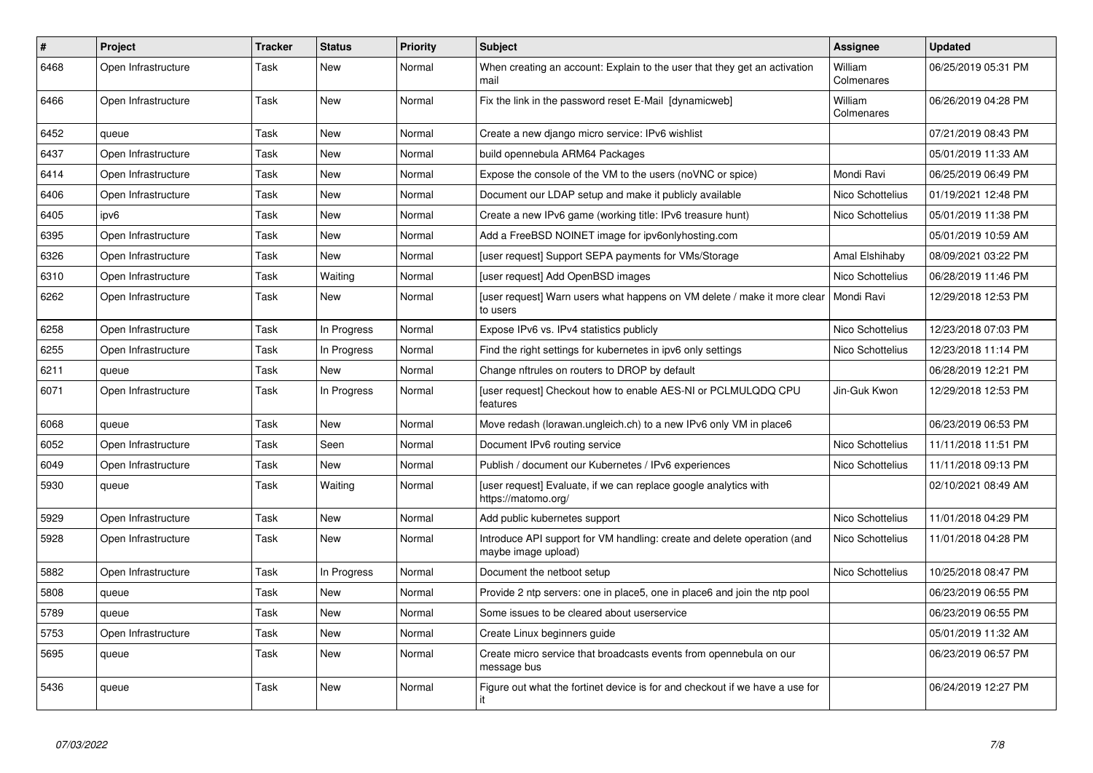| $\vert$ # | Project             | <b>Tracker</b> | <b>Status</b> | <b>Priority</b> | <b>Subject</b>                                                                                 | Assignee              | <b>Updated</b>      |
|-----------|---------------------|----------------|---------------|-----------------|------------------------------------------------------------------------------------------------|-----------------------|---------------------|
| 6468      | Open Infrastructure | Task           | New           | Normal          | When creating an account: Explain to the user that they get an activation<br>mail              | William<br>Colmenares | 06/25/2019 05:31 PM |
| 6466      | Open Infrastructure | Task           | New           | Normal          | Fix the link in the password reset E-Mail [dynamicweb]                                         | William<br>Colmenares | 06/26/2019 04:28 PM |
| 6452      | queue               | Task           | <b>New</b>    | Normal          | Create a new diango micro service: IPv6 wishlist                                               |                       | 07/21/2019 08:43 PM |
| 6437      | Open Infrastructure | Task           | New           | Normal          | build opennebula ARM64 Packages                                                                |                       | 05/01/2019 11:33 AM |
| 6414      | Open Infrastructure | Task           | <b>New</b>    | Normal          | Expose the console of the VM to the users (no VNC or spice)                                    | Mondi Ravi            | 06/25/2019 06:49 PM |
| 6406      | Open Infrastructure | Task           | <b>New</b>    | Normal          | Document our LDAP setup and make it publicly available                                         | Nico Schottelius      | 01/19/2021 12:48 PM |
| 6405      | ipv6                | Task           | New           | Normal          | Create a new IPv6 game (working title: IPv6 treasure hunt)                                     | Nico Schottelius      | 05/01/2019 11:38 PM |
| 6395      | Open Infrastructure | Task           | New           | Normal          | Add a FreeBSD NOINET image for ipv6onlyhosting.com                                             |                       | 05/01/2019 10:59 AM |
| 6326      | Open Infrastructure | Task           | New           | Normal          | [user request] Support SEPA payments for VMs/Storage                                           | Amal Elshihaby        | 08/09/2021 03:22 PM |
| 6310      | Open Infrastructure | Task           | Waiting       | Normal          | [user request] Add OpenBSD images                                                              | Nico Schottelius      | 06/28/2019 11:46 PM |
| 6262      | Open Infrastructure | Task           | New           | Normal          | [user request] Warn users what happens on VM delete / make it more clear<br>to users           | l Mondi Ravi          | 12/29/2018 12:53 PM |
| 6258      | Open Infrastructure | Task           | In Progress   | Normal          | Expose IPv6 vs. IPv4 statistics publicly                                                       | Nico Schottelius      | 12/23/2018 07:03 PM |
| 6255      | Open Infrastructure | Task           | In Progress   | Normal          | Find the right settings for kubernetes in ipv6 only settings                                   | Nico Schottelius      | 12/23/2018 11:14 PM |
| 6211      | queue               | Task           | New           | Normal          | Change nftrules on routers to DROP by default                                                  |                       | 06/28/2019 12:21 PM |
| 6071      | Open Infrastructure | Task           | In Progress   | Normal          | [user request] Checkout how to enable AES-NI or PCLMULQDQ CPU<br>features                      | Jin-Guk Kwon          | 12/29/2018 12:53 PM |
| 6068      | queue               | Task           | New           | Normal          | Move redash (lorawan.ungleich.ch) to a new IPv6 only VM in place6                              |                       | 06/23/2019 06:53 PM |
| 6052      | Open Infrastructure | Task           | Seen          | Normal          | Document IPv6 routing service                                                                  | Nico Schottelius      | 11/11/2018 11:51 PM |
| 6049      | Open Infrastructure | Task           | <b>New</b>    | Normal          | Publish / document our Kubernetes / IPv6 experiences                                           | Nico Schottelius      | 11/11/2018 09:13 PM |
| 5930      | queue               | Task           | Waiting       | Normal          | [user request] Evaluate, if we can replace google analytics with<br>https://matomo.org/        |                       | 02/10/2021 08:49 AM |
| 5929      | Open Infrastructure | Task           | New           | Normal          | Add public kubernetes support                                                                  | Nico Schottelius      | 11/01/2018 04:29 PM |
| 5928      | Open Infrastructure | Task           | <b>New</b>    | Normal          | Introduce API support for VM handling: create and delete operation (and<br>maybe image upload) | Nico Schottelius      | 11/01/2018 04:28 PM |
| 5882      | Open Infrastructure | Task           | In Progress   | Normal          | Document the netboot setup                                                                     | Nico Schottelius      | 10/25/2018 08:47 PM |
| 5808      | queue               | Task           | New           | Normal          | Provide 2 ntp servers: one in place5, one in place6 and join the ntp pool                      |                       | 06/23/2019 06:55 PM |
| 5789      | queue               | Task           | New           | Normal          | Some issues to be cleared about userservice                                                    |                       | 06/23/2019 06:55 PM |
| 5753      | Open Infrastructure | Task           | New           | Normal          | Create Linux beginners guide                                                                   |                       | 05/01/2019 11:32 AM |
| 5695      | queue               | Task           | New           | Normal          | Create micro service that broadcasts events from opennebula on our<br>message bus              |                       | 06/23/2019 06:57 PM |
| 5436      | queue               | Task           | New           | Normal          | Figure out what the fortinet device is for and checkout if we have a use for<br>it             |                       | 06/24/2019 12:27 PM |